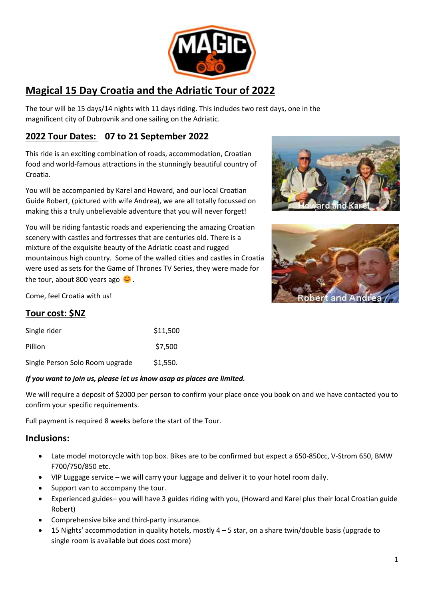

# **Magical 15 Day Croatia and the Adriatic Tour of 2022**

The tour will be 15 days/14 nights with 11 days riding. This includes two rest days, one in the magnificent city of Dubrovnik and one sailing on the Adriatic.

## **2022 Tour Dates: 07 to 21 September 2022**

This ride is an exciting combination of roads, accommodation, Croatian food and world-famous attractions in the stunningly beautiful country of Croatia.

You will be accompanied by Karel and Howard, and our local Croatian Guide Robert, (pictured with wife Andrea), we are all totally focussed on making this a truly unbelievable adventure that you will never forget!

You will be riding fantastic roads and experiencing the amazing Croatian scenery with castles and fortresses that are centuries old. There is a mixture of the exquisite beauty of the Adriatic coast and rugged mountainous high country. Some of the walled cities and castles in Croatia were used as sets for the Game of Thrones TV Series, they were made for the tour, about 800 years ago  $\bullet$ .





Come, feel Croatia with us!

# **Tour cost: \$NZ**

| Single rider                    | \$11,500 |
|---------------------------------|----------|
| Pillion                         | \$7,500  |
| Single Person Solo Room upgrade | \$1,550. |

#### *If you want to join us, please let us know asap as places are limited.*

We will require a deposit of \$2000 per person to confirm your place once you book on and we have contacted you to confirm your specific requirements.

Full payment is required 8 weeks before the start of the Tour.

#### **Inclusions:**

- Late model motorcycle with top box. Bikes are to be confirmed but expect a 650-850cc, V-Strom 650, BMW F700/750/850 etc.
- VIP Luggage service we will carry your luggage and deliver it to your hotel room daily.
- Support van to accompany the tour.
- Experienced guides– you will have 3 guides riding with you, (Howard and Karel plus their local Croatian guide Robert)
- Comprehensive bike and third-party insurance.
- 15 Nights' accommodation in quality hotels, mostly  $4 5$  star, on a share twin/double basis (upgrade to single room is available but does cost more)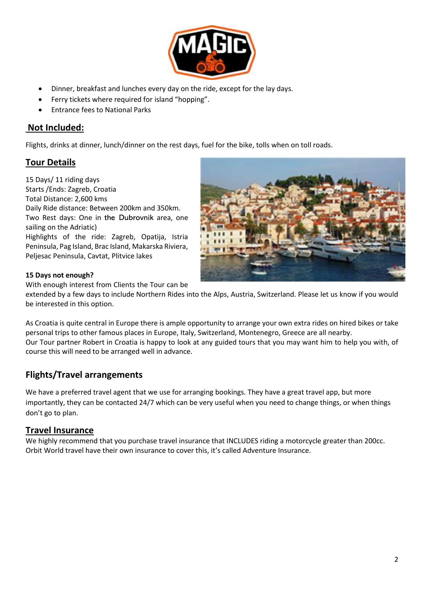

- Dinner, breakfast and lunches every day on the ride, except for the lay days.
- Ferry tickets where required for island "hopping".
- Entrance fees to National Parks

#### **Not Included:**

Flights, drinks at dinner, lunch/dinner on the rest days, fuel for the bike, tolls when on toll roads.

#### **Tour Details**

15 Days/ 11 riding days Starts /Ends: Zagreb, Croatia Total Distance: 2,600 kms Daily Ride distance: Between 200km and 350km. Two Rest days: One in the Dubrovnik area, one sailing on the Adriatic) Highlights of the ride: Zagreb, Opatija, Istria Peninsula, Pag Island, Brac Island, Makarska Riviera, Peljesac Peninsula, Cavtat, Plitvice lakes



#### **15 Days not enough?**

With enough interest from Clients the Tour can be

extended by a few days to include Northern Rides into the Alps, Austria, Switzerland. Please let us know if you would be interested in this option.

As Croatia is quite central in Europe there is ample opportunity to arrange your own extra rides on hired bikes or take personal trips to other famous places in Europe, Italy, Switzerland, Montenegro, Greece are all nearby. Our Tour partner Robert in Croatia is happy to look at any guided tours that you may want him to help you with, of course this will need to be arranged well in advance.

#### **Flights/Travel arrangements**

We have a preferred travel agent that we use for arranging bookings. They have a great travel app, but more importantly, they can be contacted 24/7 which can be very useful when you need to change things, or when things don't go to plan.

#### **Travel Insurance**

We highly recommend that you purchase travel insurance that INCLUDES riding a motorcycle greater than 200cc. Orbit World travel have their own insurance to cover this, it's called Adventure Insurance.